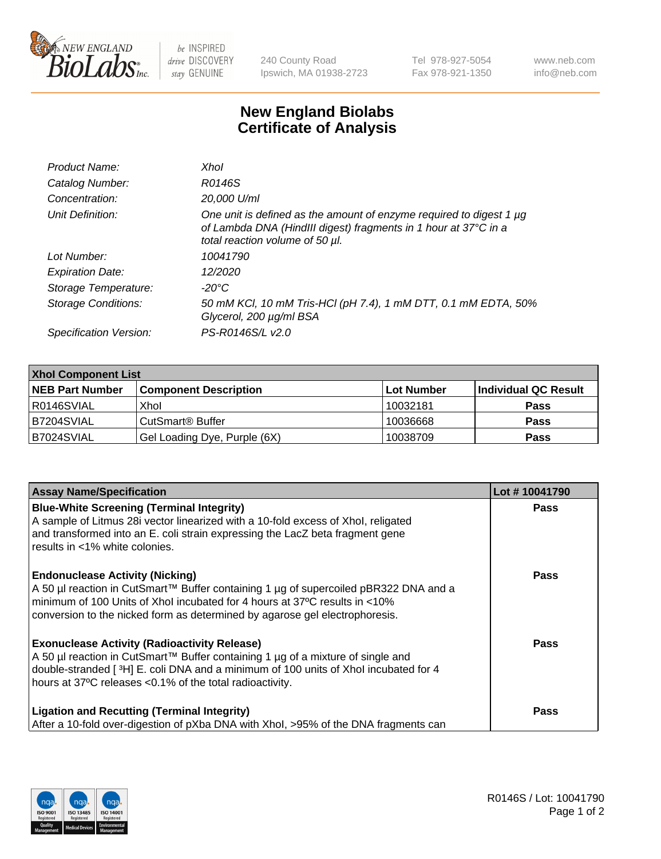

 $be$  INSPIRED drive DISCOVERY stay GENUINE

240 County Road Ipswich, MA 01938-2723 Tel 978-927-5054 Fax 978-921-1350 www.neb.com info@neb.com

## **New England Biolabs Certificate of Analysis**

| Product Name:              | Xhol                                                                                                                                                                      |
|----------------------------|---------------------------------------------------------------------------------------------------------------------------------------------------------------------------|
| Catalog Number:            | R0146S                                                                                                                                                                    |
| Concentration:             | 20,000 U/ml                                                                                                                                                               |
| Unit Definition:           | One unit is defined as the amount of enzyme required to digest 1 µg<br>of Lambda DNA (HindIII digest) fragments in 1 hour at 37°C in a<br>total reaction volume of 50 µl. |
| Lot Number:                | 10041790                                                                                                                                                                  |
| <b>Expiration Date:</b>    | 12/2020                                                                                                                                                                   |
| Storage Temperature:       | -20°C                                                                                                                                                                     |
| <b>Storage Conditions:</b> | 50 mM KCl, 10 mM Tris-HCl (pH 7.4), 1 mM DTT, 0.1 mM EDTA, 50%<br>Glycerol, 200 µg/ml BSA                                                                                 |
| Specification Version:     | PS-R0146S/L v2.0                                                                                                                                                          |

| <b>Xhol Component List</b> |                              |             |                      |  |  |
|----------------------------|------------------------------|-------------|----------------------|--|--|
| <b>NEB Part Number</b>     | <b>Component Description</b> | ∣Lot Number | Individual QC Result |  |  |
| R0146SVIAL                 | Xhol                         | 10032181    | <b>Pass</b>          |  |  |
| B7204SVIAL                 | CutSmart® Buffer             | 10036668    | <b>Pass</b>          |  |  |
| B7024SVIAL                 | Gel Loading Dye, Purple (6X) | 10038709    | <b>Pass</b>          |  |  |

| <b>Assay Name/Specification</b>                                                                                                                                                                                                                                                             | Lot #10041790 |
|---------------------------------------------------------------------------------------------------------------------------------------------------------------------------------------------------------------------------------------------------------------------------------------------|---------------|
| <b>Blue-White Screening (Terminal Integrity)</b><br>A sample of Litmus 28i vector linearized with a 10-fold excess of Xhol, religated<br>and transformed into an E. coli strain expressing the LacZ beta fragment gene<br>results in <1% white colonies.                                    | <b>Pass</b>   |
| <b>Endonuclease Activity (Nicking)</b><br>A 50 µl reaction in CutSmart™ Buffer containing 1 µg of supercoiled pBR322 DNA and a<br>minimum of 100 Units of Xhol incubated for 4 hours at 37°C results in <10%<br>conversion to the nicked form as determined by agarose gel electrophoresis. | <b>Pass</b>   |
| <b>Exonuclease Activity (Radioactivity Release)</b><br>A 50 µl reaction in CutSmart™ Buffer containing 1 µg of a mixture of single and<br>double-stranded [3H] E. coli DNA and a minimum of 100 units of Xhol incubated for 4<br>hours at 37°C releases <0.1% of the total radioactivity.   | Pass          |
| <b>Ligation and Recutting (Terminal Integrity)</b><br>After a 10-fold over-digestion of pXba DNA with Xhol, >95% of the DNA fragments can                                                                                                                                                   | <b>Pass</b>   |